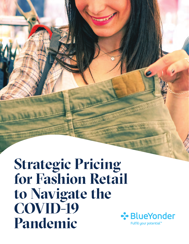**Strategic Pricing for Fashion Retail to Navigate the COVID-19 Pandemic**

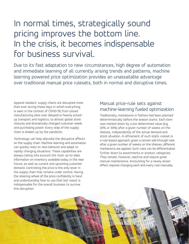# In normal times, strategically sound pricing improves the bottom line. In the crisis, it becomes indispensable for business survival.

Due to its fast adaptation to new circumstances, high degree of automation and immediate learning of all currently arising trends and patterns, machine learning powered price optimization provides an unassailable advantage over traditional manual price rulesets, both in normal and disruptive times.

Apparel retailers' supply chains are disrupted more than ever during these days in which everything is seen in the context of COVID-19; from closed manufacturing sites over delayed or heavily pricedup transport and logistics, to almost global store closures and dramatically changed customer needs and purchasing power. Every step of the supply chain is shaken up by the pandemic.

Technology can help alleviate the disruptive effects on the supply chain. Machine-learning and automation can quickly react to new behavior and adapt to rapidly changing situations. These capabilities are always taking into account the most up-to-date information on inventory available today, in the near future, as well as current and upcoming customer demand. Controlling the price is the only lever in the supply chain that remains under control. Having the steering wheel of the price confidently in hand and understanding how to use that last resort is indispensable for the overall business to survive this disruption.

#### Manual price-rule sets against machine-learning fueled optimization

Traditionally, markdowns in fashion had been planned deterministically before the season starts. Each item was marked down by a pre-determined value (e.g. 20% or 30%) after a given number of weeks on the shelves, independently of the actual demand and stock situation. A refinement of such static ruleset is a rule-based approach; given a certain sell-through-rate after a given number of weeks on the shelves, different markdowns are applied. Such rules can be differentiated further down to assortments or product categories. They remain, however, reactive and require great manual maintenance. Accounting for a newly arisen effect requires changing each and every rule manually.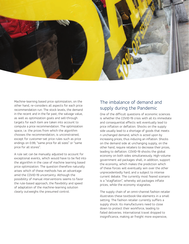

Machine-learning based price optimization, on the other hand, re-considers all aspects for each price recommendation run: The stock levels, the demand in the recent and in the far past, the salvage value, as well as optimization goals and sell-through targets for each item are taken into account to compute a price recommendation. The optimization space, i.e. the prices from which the algorithm chooses the recommendation, is unconstrained, except for customer-set price rules such as price endings on 0.99, "same price for all sizes" or "same price for all stores".

A rule set can be manually adjusted to account for exceptional events, which would have to be fed into the algorithm in the case of machine learning based price optimization. The question therefore naturally arises which of these methods has an advantage amid the COVID-19 uncertainty. Although the possibility of manual interventions seems to favor the rule-based approach, the flexibility and speed of adaptation of the machine-learning solution clearly outweighs the presumed control.

### The imbalance of demand and supply during the Pandemic

One of the difficult questions of economic sciences is whether the COVID-19 crisis with all its immediate and consequential effects will eventually lead to price inflation or deflation. Shocks on the supply side usually lead to a shortage of goods that meets n unchanged demand, which is acted upon by increasing prices, thus inducing an inflation. Shocks on the demand side at unchanging supply, on the other hand, require retailers to decrease their prices, leading to deflation. COVID-19 shocks the global economy on both sides simultaneously. High-volume government aid packages shall, in addition, support the economy, which makes the prediction which of these forces will eventually win over the other unprecedentedly hard, and a subject to intense current debate. The currently most feared scenario is a "stagflation", whereby aid packages inflate prices, while the economy stagnates.

The supply chain of an omni-channel fashion retailer illustrates these textbook-like elements in a small setting. The fashion retailer currently suffers a supply shock: Its manufacturers need to close down to protect their workforce, leading to failed deliveries. International travel dropped to insignificance, making air freight more expensive,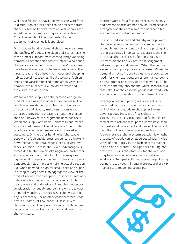while sea freight is heavily delayed. The workforce in distribution centers needs to be protected from the virus, forcing to shift down or work abbreviated schedules, which reduces logistical capabilities. Thus, the supply of the previously planned assortment of clothes is jeopardized.

On the other hand, a demand shock heavily shakes the outflow of goods: The closure of stores has the most dramatic impact, with consequently vanishing demand. Other than this obvious effect, also online channels are affected, since customers' daily lives have been shaken up by the measures against the virus spread, and so have their needs and shopping habits. Certain categories like dress-ware, fashion shoes and vacation related items are in very little demand, while others, like children's wear and athleisure, are on the rise.

Whenever the supply and the demand of a given product, such as a fashionable shoe decrease, the two forces are aligned, and the two unfavorable effects serendipitously match and balance each other out, preventing greater damage. More often than not, however, this alignment does not occur: When the supply of a basic T-shirt fails and meets an increased demand, the latter cannot be fulfilled, which leads to missed revenue and dissatisfied customers. On the other hand, when the stable supply of a fashionable dress encounters a brokendown demand, the retailer runs into a severe overstock-situation. That is, the two disadvantageous forces due to the two shocks aggravate each other. Any aggregation of products into coarse-grained higher-level groups such as assortments can give a dangerously false impression of the actual situation: E.g. when demand is high for small sizes and supply is strong for large sizes, an aggregated view of the product under scrutiny appears to show a seemingly balanced situation. In practice, one runs into both heavy over- and under-stock. Thus, the meticulous consideration of supply and demand on the lowest granularity such as location, size, color, variant, or day is necessary. For an omni-channel retailer that offers hundreds of thousands SKUs in several thousand stores, this gives millions of combinations to consider disqualifying any manual attempt from the very start.

In other words, for a fashion retailer, the supply and demand shocks are not only of unforeseeable strength, but they are also often unaligned for each and every individual product.

The only undisrupted and thereby more powerful than ever steering wheel in the complex network of supply and demand network is the price, giving it unprecedented importance and attention. The price that the retailer sets for a product is the ultimate means to alleviate the misalignment between supply and demand: When the demand exceeds the supply, prices are increased. When the demand is not sufficient to clear the stocks to be ready for the next reset, prices are marked down, or new promotional activities are played out. The price can thereby prevent the worst scenario of a fast sellout of the essential goods in demand with a simultaneous overstock of low-demand goods.

Strategically sound pricing is also eventually beneficial for the customer: While a low price on high-demand goods might appear like an advantageous bargain at first sight, the consequent out-of-stock-situation fuels a black market with astronomical prices, as we have seen for masks and disinfectants. Moreover, the current cash flow situation being precarious for most fashion retailers, the mid-term question is whether a supply of goods can at all be sustained. A wide wave of bankruptcy in the fashion retail market is of no one's interest. The right price during and after the crisis is therefore key for the mid- and long-term survival of every fashion retailer worldwide. Two particular settings emerge: Pricing during the lock-down in online stores, and brick & mortar store reopening scenarios.

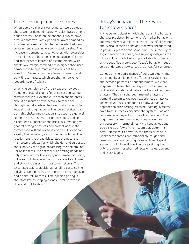#### Price steering in online stores

When doors to the brick-and-mortar stores close, the customer demand naturally redistributes among online stores. These online channels, which have, after a short two-week-period of lower demand as an immediate reaction to the unprecedented virus containment steps, now see increasing sales. The increase in demand comes, however, with downsides: The online store becomes the substitute of a brickand-mortar store instead of a complement, with simple low-margin commodities in higher-than-usual demand, while high-margin fashion is not being asked for. Basket sizes have been increasing, and so will return rates, which are the number-one jeopardy to profitability.

Given the complexity of the situation, however, no general rule of thumb for price setting can be formulated: In our example, the fashionable dress should be marked down heavily to meet sellthrough-targets, while the basic T-shirt should be kept at their original price. The worst retailers can do in this challenging situation is to assume a general tendency towards over- or under-supply and to either keep all prices at the pre-crisis level or give general strong discounts and promotions: In the former case will the revenue not be sufficient to satisfy the necessary cash-flow, in the latter, the retailer runs the great risk to also promote and markdown products for which the demand surpasses the supply by far, again jeopardizing the bottom line. For online retail, the optimal price setting needs not only to account for the supply and demand situation, but also for future incoming stocks, stocks in transit and stock increases from customer returns. The latter also lead to additional handling costs so the individual item price has an impact on buyer behavior and on the return rates. Item-specific pricing is therefore key to keeping a viable level of revenue flow and profitability.

#### Today's behavior is the key to tomorrow's prices

In the current situation with short planning horizons, the best prediction for tomorrow's market behavior is today's behavior and in contrast to "usual" times not the typical season's behavior that was encountered in previous years at the same time. Thus, the key to a good reaction is speed, and saying goodbye to the intuition that made fashion predictable to humans until about five weeks ago. Today's behavior needs to be understood now to set the prices for tomorrow.

Curious on the performance of our own algorithms, we manually analyzed the effects of Covid-19 on the demand patterns of our customers. We were surprised to learn that our algorithms had reacted on the shifts in demand before we finished our own analysis. That is, a thorough manual analysis of demand pattern takes even experienced analytics teams days. This is too long to allow a manual approach to price setting. Machine-learning systems train from scratch every time the system runs and re-consider all aspects of the situation anew. This might seem sometimes even exaggerated and unnecessary in normal times. Why keep all options open if only a few of them seem plausible? This now unleashes its power in the times of crisis. All unexpected trends are immediately caught and taken into account. No prejudices on how "typical" seasons look like will bias the price setting, but only the current established facts on sales, demand and stock levels.